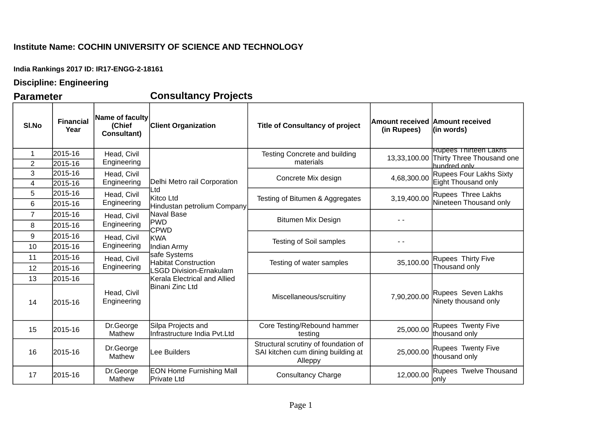## **Institute Name: COCHIN UNIVERSITY OF SCIENCE AND TECHNOLOGY**

**India Rankings 2017 ID: IR17-ENGG-2-18161**

## **Discipline: Engineering**

**Parameter Consultancy Projects**

| SI.No               | <b>Financial</b><br>Year | Name of faculty<br>(Chief<br><b>Consultant)</b>                                        | <b>Client Organization</b>                                                                                                              | <b>Title of Consultancy of project</b>                                                | <b>Amount received Amount received</b><br>(in Rupees) | (in words)                                                                             |
|---------------------|--------------------------|----------------------------------------------------------------------------------------|-----------------------------------------------------------------------------------------------------------------------------------------|---------------------------------------------------------------------------------------|-------------------------------------------------------|----------------------------------------------------------------------------------------|
| 1<br>$\overline{2}$ | 2015-16<br>2015-16       | Head, Civil<br>Engineering<br>Head, Civil<br>Engineering<br>Head, Civil<br>Engineering | Delhi Metro rail Corporation<br>Ltd<br>Kitco Ltd<br>Hindustan petrolium Company                                                         | Testing Concrete and building<br>materials                                            |                                                       | <b>Rupees Thirteen Lakhs</b><br>13,33,100.00 Thirty Three Thousand one<br>hundred only |
| 3<br>4              | 2015-16<br>2015-16       |                                                                                        |                                                                                                                                         | Concrete Mix design                                                                   | 4,68,300.00                                           | <b>Rupees Four Lakhs Sixty</b><br>Eight Thousand only                                  |
| 5<br>6              | 2015-16<br>2015-16       |                                                                                        |                                                                                                                                         | Testing of Bitumen & Aggregates                                                       | 3,19,400.00                                           | Rupees Three Lakhs<br>Nineteen Thousand only                                           |
| $\overline{7}$<br>8 | 2015-16<br>2015-16       | Head, Civil<br>Engineering                                                             | Naval Base<br><b>PWD</b>                                                                                                                | <b>Bitumen Mix Design</b>                                                             |                                                       |                                                                                        |
| 9<br>10             | 2015-16<br>2015-16       | Head, Civil<br>Engineering                                                             | <b>CPWD</b><br><b>KWA</b><br>Indian Army                                                                                                | <b>Testing of Soil samples</b>                                                        |                                                       |                                                                                        |
| 11<br>12            | 2015-16<br>2015-16       | Head, Civil<br>Engineering                                                             | safe Systems<br><b>Habitat Construction</b><br><b>LSGD Division-Ernakulam</b><br>Kerala Electrical and Allied<br><b>Binani Zinc Ltd</b> | Testing of water samples                                                              | 35,100.00                                             | Rupees Thirty Five<br>Thousand only                                                    |
| 13<br>14            | 2015-16<br>2015-16       | Head, Civil<br>Engineering                                                             |                                                                                                                                         | Miscellaneous/scruitiny                                                               | 7,90,200.00                                           | Rupees Seven Lakhs<br>Ninety thousand only                                             |
| 15                  | 2015-16                  | Dr.George<br>Mathew                                                                    | Silpa Projects and<br>Infrastructure India Pvt.Ltd                                                                                      | Core Testing/Rebound hammer<br>testing                                                | 25,000.00                                             | Rupees Twenty Five<br>thousand only                                                    |
| 16                  | 2015-16                  | Dr.George<br>Mathew                                                                    | Lee Builders                                                                                                                            | Structural scrutiny of foundation of<br>SAI kitchen cum dining building at<br>Alleppy | 25,000.00                                             | Rupees Twenty Five<br>thousand only                                                    |
| 17                  | 2015-16                  | Dr.George<br>Mathew                                                                    | <b>EON Home Furnishing Mall</b><br>Private Ltd                                                                                          | <b>Consultancy Charge</b>                                                             | 12,000.00                                             | Rupees Twelve Thousand<br>only                                                         |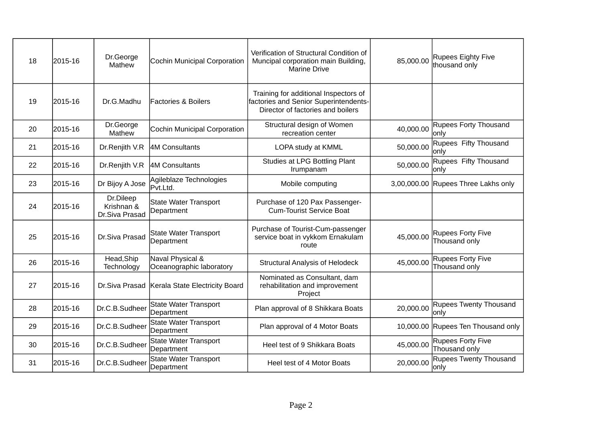| 18 | 2015-16 | Dr.George<br>Mathew                       | Cochin Municipal Corporation                 | Verification of Structural Condition of<br>Muncipal corporation main Building,<br><b>Marine Drive</b>               | 85,000.00 | Rupees Eighty Five<br>thousand only       |
|----|---------|-------------------------------------------|----------------------------------------------|---------------------------------------------------------------------------------------------------------------------|-----------|-------------------------------------------|
| 19 | 2015-16 | Dr.G.Madhu                                | <b>Factories &amp; Boilers</b>               | Training for additional Inspectors of<br>factories and Senior Superintendents-<br>Director of factories and boilers |           |                                           |
| 20 | 2015-16 | Dr.George<br>Mathew                       | Cochin Municipal Corporation                 | Structural design of Women<br>recreation center                                                                     | 40,000.00 | Rupees Forty Thousand<br>onlv             |
| 21 | 2015-16 | Dr.Renjith V.R                            | 4M Consultants                               | LOPA study at KMML                                                                                                  | 50,000.00 | Rupees Fifty Thousand<br>onlv             |
| 22 | 2015-16 | Dr.Renjith V.R                            | 4M Consultants                               | Studies at LPG Bottling Plant<br>Irumpanam                                                                          | 50,000.00 | Rupees Fifty Thousand<br>lonly            |
| 23 | 2015-16 | Dr Bijoy A Jose                           | Agileblaze Technologies<br>Pvt.Ltd.          | Mobile computing                                                                                                    |           | 3,00,000.00 Rupees Three Lakhs only       |
| 24 | 2015-16 | Dr.Dileep<br>Krishnan &<br>Dr.Siva Prasad | <b>State Water Transport</b><br>Department   | Purchase of 120 Pax Passenger-<br><b>Cum-Tourist Service Boat</b>                                                   |           |                                           |
| 25 | 2015-16 | Dr.Siva Prasad                            | <b>State Water Transport</b><br>Department   | Purchase of Tourist-Cum-passenger<br>service boat in vykkom Ernakulam<br>route                                      | 45,000.00 | <b>Rupees Forty Five</b><br>Thousand only |
| 26 | 2015-16 | Head, Ship<br>Technology                  | Naval Physical &<br>Oceanographic laboratory | <b>Structural Analysis of Helodeck</b>                                                                              | 45,000.00 | Rupees Forty Five<br>Thousand only        |
| 27 | 2015-16 | Dr.Siva Prasad                            | Kerala State Electricity Board               | Nominated as Consultant, dam<br>rehabilitation and improvement<br>Project                                           |           |                                           |
| 28 | 2015-16 | Dr.C.B.Sudheer                            | <b>State Water Transport</b><br>Department   | Plan approval of 8 Shikkara Boats                                                                                   | 20,000.00 | <b>Rupees Twenty Thousand</b><br>lonlv    |
| 29 | 2015-16 | Dr.C.B.Sudheer                            | <b>State Water Transport</b><br>Department   | Plan approval of 4 Motor Boats                                                                                      |           | 10,000.00 Rupees Ten Thousand only        |
| 30 | 2015-16 | Dr.C.B.Sudheer                            | <b>State Water Transport</b><br>Department   | Heel test of 9 Shikkara Boats                                                                                       | 45,000.00 | Rupees Forty Five<br>Thousand only        |
| 31 | 2015-16 | Dr.C.B.Sudheer                            | <b>State Water Transport</b><br>Department   | Heel test of 4 Motor Boats                                                                                          | 20,000.00 | Rupees Twenty Thousand<br> only           |